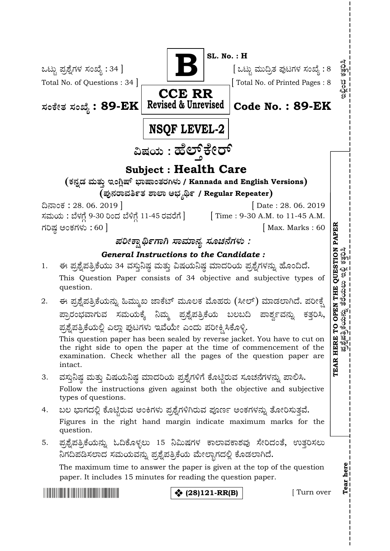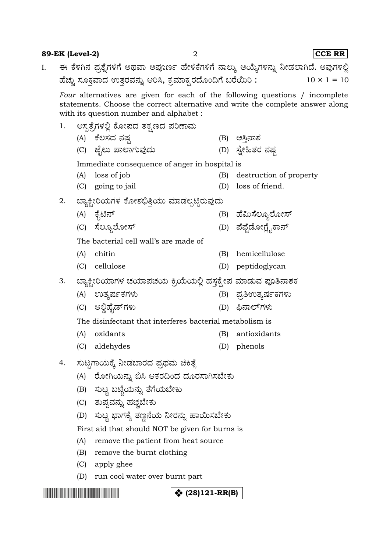### **89-EK (Level-2)** 2 **CCE RR**

ಈ ಕೆಳಗಿನ ಪ್ರಶ್ನೆಗಳಿಗೆ ಅಥವಾ ಅಪೂರ್ಣ ಹೇಳಿಕೆಗಳಿಗೆ ನಾಲ್ಕು ಆಯ್ಕೆಗಳನ್ನು ನೀಡಲಾಗಿದೆ. ಅವುಗಳಲ್ಲಿ I. ಹೆಚ್ಚು ಸೂಕ್ತವಾದ ಉತ್ತರವನ್ನು ಆರಿಸಿ, ಕ್ರಮಾಕ್ಷರದೊಂದಿಗೆ ಬರೆಯಿರಿ:  $10 \times 1 = 10$ 

*Four* alternatives are given for each of the following questions / incomplete statements. Choose the correct alternative and write the complete answer along with its question number and alphabet :

- ಆಸ್ಪತ್ರೆಗಳಲ್ಲಿ ಕೋಪದ ತಕ್ಷಣದ ಪರಿಣಾಮ 1. (A) (B)
	- (C) (D)

Immediate consequence of anger in hospital is

- (A) loss of job (B) destruction of property
- (C) going to jail (D) loss of friend.
- ಬ್ಯಾಕ್ಟೀರಿಯಗಳ ಕೋಶಭಿತ್ತಿಯು ಮಾಡಲ್ಪಟ್ಟಿರುವುದು 2.
	- (A) (B)
	- (C) (D)

The bacterial cell wall's are made of

- (A) chitin (B) hemicellulose
- (C) cellulose (D) peptidoglycan

ಬ್ಯಾಕ್ಟೀರಿಯಾಗಳ ಚಯಾಪಚಯ ಕ್ರಿಯೆಯಲ್ಲಿ ಹಸ್ತಕ್ಷೇಪ ಮಾಡುವ ಪೂತಿನಾಶಕ 3.

- (A) (B)
- (C) (D)

The disinfectant that interferes bacterial metabolism is

- (A) oxidants (B) antioxidants
- (C) aldehydes (D) phenols
- ಸುಟ್ಟಗಾಯಕ್ಕೆ ನೀಡಬಾರದ ಪ್ರಥಮ ಚಿಕಿತ್ಸೆ 4.
	- (A) ರೋಗಿಯನ್ನು ಬಿಸಿ ಆಕರದಿಂದ ದೂರಸಾಗಿಸಬೇಕು
	- (B) ಸುಟ್ಟ ಬಟ್ಟೆಯನ್ನು ತೆಗೆಯಬೇಕು
	- (C) ತುಪ್ಪವನ್ನು ಹಚ್ಚಬೇಕು
	- (D) ಸುಟ್ಟ ಭಾಗಕ್ಕೆ ತಣ್ಣನೆಯ ನೀರನ್ನು ಹಾಯಿಸಬೇಕು

First aid that should NOT be given for burns is

- (A) remove the patient from heat source
- (B) remove the burnt clothing
- (C) apply ghee
- (D) run cool water over burnt part

**(28)121-RR(B)**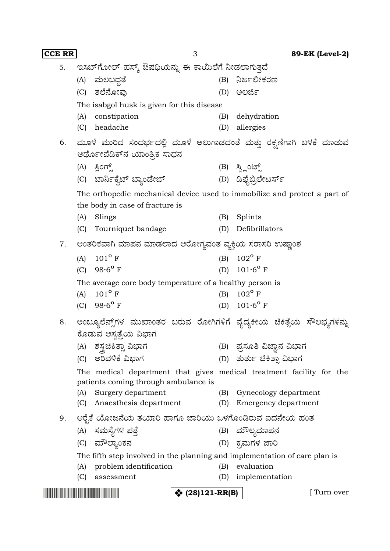| <b>CCE RR</b> |                                                                                                              | 3                                                                                              |                        | 89-EK (Level-2)           |  |  |  |  |  |
|---------------|--------------------------------------------------------------------------------------------------------------|------------------------------------------------------------------------------------------------|------------------------|---------------------------|--|--|--|--|--|
| 5.            |                                                                                                              | ಇಸಬ್ಗೋಲ್ ಹಸ್ಕ್ ಔಷಧಿಯನ್ನು ಈ ಕಾಯಿಲೆಗೆ ನೀಡಲಾಗುತ್ತದೆ                                               |                        |                           |  |  |  |  |  |
|               |                                                                                                              | (A) ಮಲಬದ್ಧತೆ                                                                                   |                        | (B) ನಿರ್ಜಲೀಕರಣ            |  |  |  |  |  |
|               | (C)                                                                                                          | ತಲೆನೋವು                                                                                        | (D)                    | ಅಲರ್ಜಿ                    |  |  |  |  |  |
|               |                                                                                                              | The isabgol husk is given for this disease                                                     |                        |                           |  |  |  |  |  |
|               | (A)                                                                                                          | constipation                                                                                   | (B)                    | dehydration               |  |  |  |  |  |
|               | (C)                                                                                                          | headache                                                                                       | (D)                    | allergies                 |  |  |  |  |  |
| 6.            |                                                                                                              | ಮೂಳೆ ಮುರಿದ ಸಂದರ್ಭದಲ್ಲಿ ಮೂಳೆ ಅಲುಗಾಡದಂತೆ ಮತ್ತು ರಕ್ಷಣೆಗಾಗಿ ಬಳಕೆ ಮಾಡುವ                             |                        |                           |  |  |  |  |  |
|               | ಆರ್ಥೋಪೆಡಿಕ್ನ ಯಾಂತ್ರಿಕ ಸಾಧನ                                                                                   |                                                                                                |                        |                           |  |  |  |  |  |
|               |                                                                                                              | (A) ಸ್ಲಿಂಗ್ಸ್                                                                                  |                        | (B) ಸ್ಪ್ಲಿಂಟ್ಸ್           |  |  |  |  |  |
|               |                                                                                                              | (C) ಟಾರ್ನಿಕ್ವೆಟ್ ಬ್ಯಾಂಡೇಜ್                                                                     |                        | (D) ಡಿಫೈಬ್ರಿಲೇಟರ್ಸ್       |  |  |  |  |  |
|               |                                                                                                              | The orthopedic mechanical device used to immobilize and protect a part of                      |                        |                           |  |  |  |  |  |
|               | the body in case of fracture is                                                                              |                                                                                                |                        |                           |  |  |  |  |  |
|               | (A)                                                                                                          | Slings                                                                                         | (B)                    | Splints                   |  |  |  |  |  |
|               | (C)                                                                                                          | Tourniquet bandage                                                                             | (D)                    | Defibrillators            |  |  |  |  |  |
| 7.            |                                                                                                              | ಆಂತರಿಕವಾಗಿ ಮಾಪನ ಮಾಡಲಾದ ಆರೋಗ್ಯವಂತ ವ್ಯಕ್ತಿಯ ಸರಾಸರಿ ಉಷ್ಣಾಂಶ                                       |                        |                           |  |  |  |  |  |
|               | (A)                                                                                                          | $101^{\circ}$ F                                                                                |                        | (B) $102^{\circ}$ F       |  |  |  |  |  |
|               | (C)                                                                                                          | $98.6^{\circ}$ F                                                                               |                        | (D) $101.6^{\circ}$ F     |  |  |  |  |  |
|               | The average core body temperature of a healthy person is                                                     |                                                                                                |                        |                           |  |  |  |  |  |
|               | (A)                                                                                                          | $101^{\circ}$ F                                                                                | (B)                    | $102^{\circ}$ F           |  |  |  |  |  |
|               |                                                                                                              | (C) $98.6^{\circ}$ F                                                                           |                        | (D) $101.6^{\circ}$ F     |  |  |  |  |  |
| 8.            |                                                                                                              | ಅಂಬ್ಯೂಲೆನ್ಸ್ಗ್ ಮುಖಾಂತರ ಬರುವ ರೋಗಿಗಳಿಗೆ ವೈದ್ಯಕೀಯ ಚಿಕಿತ್ಸೆಯ ಸೌಲಭ್ಯಗಳನ್ನು<br>ಕೊಡುವ ಆಸ್ಪತ್ರೆಯ ವಿಭಾಗ |                        |                           |  |  |  |  |  |
|               |                                                                                                              | (A) ಶಸ್ತ್ರಚಿಕಿತ್ಸಾ ವಿಭಾಗ                                                                       |                        | (B) ಪ್ರಸೂತಿ ವಿಜ್ಞಾನ ವಿಭಾಗ |  |  |  |  |  |
|               |                                                                                                              | (C) ಅರಿವಳಿಕೆ ವಿಭಾಗ                                                                             |                        | (D) ತುರ್ತು ಚಿಕಿತ್ಸಾ ವಿಭಾಗ |  |  |  |  |  |
|               | The medical department that gives medical treatment facility for the<br>patients coming through ambulance is |                                                                                                |                        |                           |  |  |  |  |  |
|               | (A)                                                                                                          | Surgery department                                                                             |                        | (B) Gynecology department |  |  |  |  |  |
|               | (C)                                                                                                          | Anaesthesia department                                                                         | (D)                    | Emergency department      |  |  |  |  |  |
| 9.            |                                                                                                              | ಆರೈಕೆ ಯೋಜನೆಯ ತಯಾರಿ ಹಾಗೂ ಜಾರಿಯು ಒಳಗೊಂಡಿರುವ ಐದನೇಯ ಹಂತ                                            |                        |                           |  |  |  |  |  |
|               |                                                                                                              | (A) ಸಮಸ್ಯೆಗಳ ಪತ್ತೆ                                                                             |                        | (B) ಮೌಲ್ಯಮಾಪನ             |  |  |  |  |  |
|               |                                                                                                              | (C) ಮೌಲ್ಯಾಂಕನ                                                                                  |                        | (D) ಕ್ರಮಗಳ ಜಾರಿ           |  |  |  |  |  |
|               |                                                                                                              | The fifth step involved in the planning and implementation of care plan is                     |                        |                           |  |  |  |  |  |
|               | (A)                                                                                                          | problem identification                                                                         | (B)                    | evaluation                |  |  |  |  |  |
|               | (C)                                                                                                          | assessment                                                                                     | (D)                    | implementation            |  |  |  |  |  |
|               |                                                                                                              |                                                                                                | <b>☆</b> (28)121-RR(B) | [ Turn over               |  |  |  |  |  |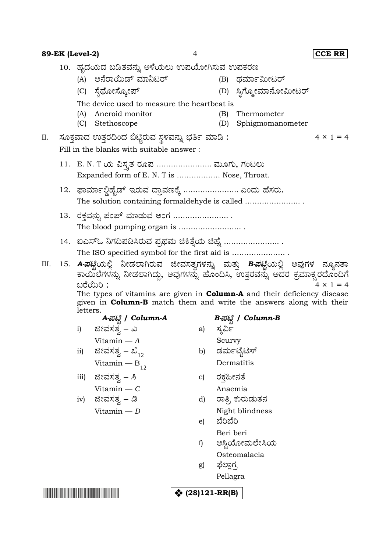| 89-EK (Level-2) |                                             |                                                                                                                                                                                                                                                                                                                                                              | 4                                                   |                              |            | <b>CCE RR</b>                 |                  |  |  |  |  |
|-----------------|---------------------------------------------|--------------------------------------------------------------------------------------------------------------------------------------------------------------------------------------------------------------------------------------------------------------------------------------------------------------------------------------------------------------|-----------------------------------------------------|------------------------------|------------|-------------------------------|------------------|--|--|--|--|
|                 | 10.  ಹೃದಯದ ಬಡಿತವನ್ನು ಅಳೆಯಲು ಉಪಯೋಗಿಸುವ ಉಪಕರಣ |                                                                                                                                                                                                                                                                                                                                                              |                                                     |                              |            |                               |                  |  |  |  |  |
|                 |                                             |                                                                                                                                                                                                                                                                                                                                                              | (A) ಅನೆರಾಯಿಡ್ ಮಾನಿಟರ್                               |                              |            | (B) ಥರ್ಮಾಮೀಟರ್                |                  |  |  |  |  |
|                 |                                             |                                                                                                                                                                                                                                                                                                                                                              | (C) ಸ್ಟೆಥೋಸ್ಕೋಪ್                                    |                              |            | (D) ಸ್ಪಿಗ್ಮೋಮಾನೋಮೀಟರ್         |                  |  |  |  |  |
|                 |                                             | The device used to measure the heartbeat is                                                                                                                                                                                                                                                                                                                  |                                                     |                              |            |                               |                  |  |  |  |  |
|                 |                                             | (A)                                                                                                                                                                                                                                                                                                                                                          | Aneroid monitor                                     |                              | (B)        | Thermometer                   |                  |  |  |  |  |
|                 |                                             | (C)                                                                                                                                                                                                                                                                                                                                                          | Stethoscope                                         |                              | (D)        | Sphigmomanometer              |                  |  |  |  |  |
| Ш.              |                                             |                                                                                                                                                                                                                                                                                                                                                              | ಸೂಕ್ತವಾದ ಉತ್ತರದಿಂದ ಬಿಟ್ಟಿರುವ ಸ್ಥಳವನ್ನು ಭರ್ತಿ ಮಾಡಿ : |                              |            |                               | $4 \times 1 = 4$ |  |  |  |  |
|                 |                                             |                                                                                                                                                                                                                                                                                                                                                              | Fill in the blanks with suitable answer:            |                              |            |                               |                  |  |  |  |  |
|                 |                                             | 11.   E. N. T ಯ ವಿಸ್ತೃತ ರೂಪ  ಮೂಗು, ಗಂಟಲು<br>Expanded form of E. N. T is  Nose, Throat.                                                                                                                                                                                                                                                                       |                                                     |                              |            |                               |                  |  |  |  |  |
|                 |                                             | 12.   ಫಾರ್ಮಾಲ್ಡಿಹೈಡ್  ಇರುವ ದ್ರಾವಣಕ್ಕೆ  ಎಂದು ಹೆಸರು.<br>The solution containing formaldehyde is called                                                                                                                                                                                                                                                         |                                                     |                              |            |                               |                  |  |  |  |  |
|                 |                                             | 13.  ರಕ್ತವನ್ನು ಪಂಪ್ ಮಾಡುವ ಅಂಗ  .                                                                                                                                                                                                                                                                                                                             |                                                     |                              |            |                               |                  |  |  |  |  |
|                 |                                             | 14. ಐಎಸ್ಓ ನಿಗದಿಪಡಿಸಿರುವ ಪ್ರಥಮ ಚಿಕಿತ್ಸೆಯ ಚಿಹ್ನೆ                                                                                                                                                                                                                                                                                                               |                                                     |                              |            |                               |                  |  |  |  |  |
| III.            |                                             | 15. A-ಪಟ್ಟಿಯಲ್ಲಿ ನೀಡಲಾಗಿರುವ ಜೀವಸತ್ಸಗಳನ್ನು ಮತ್ತು B-ಪಟ್ಟಿಯಲ್ಲಿ ಅವುಗಳ ನ್ಯೂನತಾ<br>ಕಾಯಿಲೆಗಳನ್ನು ನೀಡಲಾಗಿದ್ದು, ಅವುಗಳನ್ನು ಹೊಂದಿಸಿ, ಉತ್ತರವನ್ನು ಅದರ ಕ್ರಮಾಕ್ಷರದೊಂದಿಗೆ<br>ಬರೆಯಿರಿ :<br>$4 \times 1 = 4$<br>The types of vitamins are given in <b>Column-A</b> and their deficiency disease<br>given in <b>Column-B</b> match them and write the answers along with their |                                                     |                              |            |                               |                  |  |  |  |  |
|                 |                                             | letters.                                                                                                                                                                                                                                                                                                                                                     | A-ಪಟ್ಟಿ / Column-A                                  | B-ಪಟ್ಟಿ / Column-B           |            |                               |                  |  |  |  |  |
|                 |                                             | i)                                                                                                                                                                                                                                                                                                                                                           | ಜೀವಸತ್ವ <i>– ಎ</i>                                  |                              | a) ಸ್ಕರ್ವಿ |                               |                  |  |  |  |  |
|                 |                                             |                                                                                                                                                                                                                                                                                                                                                              | Vitamin $- A$                                       |                              | Scurvy     |                               |                  |  |  |  |  |
|                 |                                             | ii)                                                                                                                                                                                                                                                                                                                                                          | ಜೀವಸತ್ವ <i>– ಬಿ</i> <sub>12</sub>                   | b)                           |            | ಡರ್ಮಟೈಟಿಸ್                    |                  |  |  |  |  |
|                 |                                             |                                                                                                                                                                                                                                                                                                                                                              | Vitamin — $B_{12}$                                  |                              |            | Dermatitis                    |                  |  |  |  |  |
|                 |                                             | iii)                                                                                                                                                                                                                                                                                                                                                         | ಜೀವಸತ್ವ <i>– ಸಿ</i>                                 | $\mathbf{c}$                 | ರಕ್ಗಹೀನತೆ  |                               |                  |  |  |  |  |
|                 |                                             |                                                                                                                                                                                                                                                                                                                                                              | Vitamin $-C$                                        |                              | Anaemia    |                               |                  |  |  |  |  |
|                 |                                             | iv)                                                                                                                                                                                                                                                                                                                                                          | ಜೀವಸತ್ವ <i>– ಡಿ</i>                                 | d)                           |            | ರಾತ್ರಿ ಕುರುಡುತನ               |                  |  |  |  |  |
|                 |                                             |                                                                                                                                                                                                                                                                                                                                                              | Vitamin $-D$                                        | e)                           | ಬೆರಿಬೆರಿ   | Night blindness               |                  |  |  |  |  |
|                 |                                             |                                                                                                                                                                                                                                                                                                                                                              |                                                     |                              | Beri beri  |                               |                  |  |  |  |  |
|                 |                                             |                                                                                                                                                                                                                                                                                                                                                              |                                                     | f)                           |            | ಆಸ್ಟಿಯೋಮಲೇಸಿಯ<br>Osteomalacia |                  |  |  |  |  |
|                 |                                             |                                                                                                                                                                                                                                                                                                                                                              |                                                     | g)                           | ಫೆಲ್ಲಾಗ್ರ  |                               |                  |  |  |  |  |
|                 |                                             |                                                                                                                                                                                                                                                                                                                                                              |                                                     |                              | Pellagra   |                               |                  |  |  |  |  |
|                 |                                             |                                                                                                                                                                                                                                                                                                                                                              |                                                     | $\binom{4}{3}$ (28)121-RR(B) |            |                               |                  |  |  |  |  |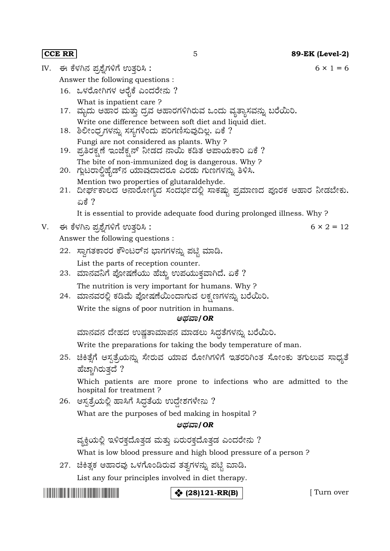IV. ಈ ಕೆಳಗಿನ ಪ್ರಶ್ನೆಗಳಿಗೆ ಉತ್ತರಿಸಿ :  $6 \times 1 = 6$ Answer the following questions : 16. ಒಳರೋಗಿಗಳ ಆರೈಕೆ ಎಂದರೇನು ? What is inpatient care ? 17. ಮೃದು ಆಹಾರ ಮತ್ತು ದ್ರವ ಆಹಾರಗಳಿಗಿರುವ ಒಂದು ವ್ಯತ್ಯಾಸವನ್ನು ಬರೆಯಿರಿ. Write one difference between soft diet and liquid diet. 18. ಶಿಲೀಂಧ್ರಗಳನ್ನು ಸಸ್ಯಗಳೆಂದು ಪರಿಗಣಿಸುವುದಿಲ್ಲ. ಏಕೆ ? Fungi are not considered as plants. Why ? 19. ಪ್ರತಿರಕ್ಷಣೆ ಇಂಜೆಕ್ಷನ್ ನೀಡದ ನಾಯಿ ಕಡಿತ ಅಪಾಯಕಾರಿ ಏಕೆ ? The bite of non-immunized dog is dangerous. Why ? 20. ಗ್ಲುಟರಾಲ್ಡಿಹೈಡ್<code>ನ</code> ಯಾವುದಾದರೂ ಎರಡು ಗುಣಗಳನ್ನು ತಿಳಿಸಿ. Mention two properties of glutaraldehyde. 21. ದೀರ್ಘಕಾಲದ ಅನಾರೋಗ್ಯದ ಸಂದರ್ಭದಲ್ಲಿ ಸಾಕಷ್ಟು ಪ್ರಮಾಣದ ಪೂರಕ ಆಹಾರ ನೀಡಬೇಕು. ಏಕೆ ? It is essential to provide adequate food during prolonged illness. Why ? V. 6 × 2 = 12 Answer the following questions : 22. ಸ್ನಾಗತಕಾರರ ಕೌಂಟರ್ನ ಭಾಗಗಳನ್ನು ಪಟ್ಟಿ ಮಾಡಿ. List the parts of reception counter. 23. The nutrition is very important for humans. Why ? 24. ಮಾನವರಲ್ಲಿ ಕಡಿಮೆ ಪೋಷಣೆಯಿಂದಾಗುವ ಲಕ್ಷಣಗಳನ್ನು ಬರೆಯಿರಿ. Write the signs of poor nutrition in humans. **/***OR* ಮಾನವನ ದೇಹದ ಉಷ್ಣತಾಮಾಪನ ಮಾಡಲು ಸಿದ್ದತೆಗಳನ್ನು ಬರೆಯಿರಿ. Write the preparations for taking the body temperature of man. 25. ಚಿಕಿತ್ಸೆಗೆ ಆಸ್ಪತ್ರೆಯನ್ನು ಸೇರುವ ಯಾವ ರೋಗಿಗಳಿಗೆ ಇತರರಿಗಿಂತ ಸೋಂಕು ತಗುಲುವ ಸಾಧ್ಯತೆ ಹೆಚ್ಚಾಗಿರುತ್ತದೆ ? Which patients are more prone to infections who are admitted to the hospital for treatment ?  $26.$  ಆಸ್ಪತ್ರೆಯಲ್ಲಿ ಹಾಸಿಗೆ ಸಿದ್ದತೆಯ ಉದ್ದೇಶಗಳೇನು ? What are the purposes of bed making in hospital ? **/***OR* ವ್ಯಕ್ತಿಯಲ್ಲಿ ಇಳಿರಕ್ತದೊತ್ತಡ ಮತ್ತು ಏರುರಕ್ತದೊತ್ತಡ ಎಂದರೇನು ? What is low blood pressure and high blood pressure of a person ? 27. ಚಿಕಿತ್ಸಕ ಆಹಾರವು ಒಳಗೊಂಡಿರುವ ತತ್ವಗಳನ್ನು ಪಟ್ಟಿ ಮಾಡಿ. List any four principles involved in diet therapy.

# **\*** (28)121-RR(B) [ Turn over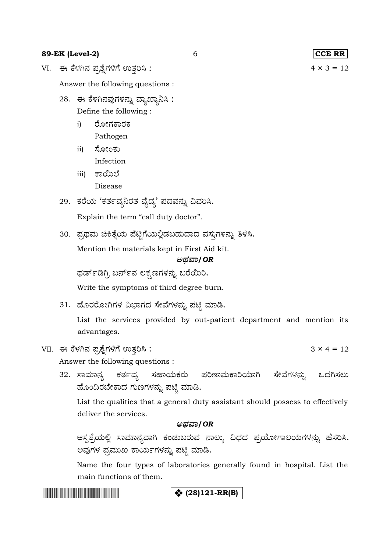## **89-EK (Level-2)** 6 **CCE RR**

VI. 4 × 3 = 12

Answer the following questions :

- 28. ಈ ಕೆಳಗಿನವುಗಳನ್ನು ವ್ಯಾಖ್ಯಾನಿಸಿ : Define the following :
	- ರೋಗಕಾರಕ i)
	- Pathogen ಸೋಂಕು ii)
		- Infection
	- iii) ಕಾಯಿಲೆ Disease
- 29. ಕರೆಯ 'ಕರ್ತವ್ಯನಿರತ ವೈದ್ಯ' ಪದವನ್ನು ವಿವರಿಸಿ.

Explain the term "call duty doctor".

30. ಪ್ರಥಮ ಚಿಕಿತ್ಸೆಯ ಪೆಟ್ಟಿಗೆಯಲ್ಲಿಡಬಹುದಾದ ವಸ್ತುಗಳನ್ನು ತಿಳಿಸಿ.

Mention the materials kept in First Aid kit.

### **/***OR*

ಥರ್ಡ್ಔಗ್ರಿ ಬರ್ನ್'ನ ಲಕ್ಷಣಗಳನ್ನು ಬರೆಯಿರಿ.

Write the symptoms of third degree burn.

31. ಹೊರರೋಗಿಗಳ ವಿಭಾಗದ ಸೇವೆಗಳನ್ನು ಪಟ್ಟಿ ಮಾಡಿ.

List the services provided by out-patient department and mention its advantages.

VII. 3 × 4 = 12

Answer the following questions :

32. ಸಾಮಾನ್ಯ ಕರ್ತವ್ಯ ಸಹಾಯಕರು ಪರಿಣಾಮಕಾರಿಯಾಗಿ ಸೇವೆಗಳನ್ನು ಒದಗಿಸಲು ಹೊಂದಿರಬೇಕಾದ ಗುಣಗಳನ್ನು ಪಟ್ಟಿ ಮಾಡಿ.

List the qualities that a general duty assistant should possess to effectively deliver the services.

### **/***OR*

ಆಸ್ಪತ್ರೆಯಲ್ಲಿ ಸಾಮಾನ್ಯವಾಗಿ ಕಂಡುಬರುವ ನಾಲ್ಕು ವಿಧದ ಪ್ರಯೋಗಾಲಯಗಳನ್ನು ಹೆಸರಿಸಿ. ಅವುಗಳ ಪ್ರಮುಖ ಕಾರ್ಯಗಳನ್ನು ಪಟ್ಟಿ ಮಾಡಿ.

Name the four types of laboratories generally found in hospital. List the main functions of them.

<u> Tanzania (h. 1888).</u>

## **(28)121-RR(B)**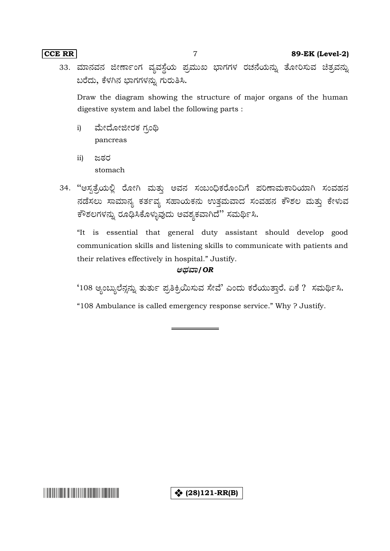**CCE RR** 7 **89-EK (Level-2)**

33. ಮಾನವನ ಜೀರ್ಣಾಂಗ ವ್ಯವಸ್ಥೆಯ ಪ್ರಮುಖ ಭಾಗಗಳ ರಚನೆಯನ್ನು ತೋರಿಸುವ ಚಿತ್ರವನ್ನು ಬರೆದು, ಕೆಳಗಿನ ಭಾಗಗಳನ್ನು ಗುರುತಿಸಿ.

Draw the diagram showing the structure of major organs of the human digestive system and label the following parts :

- ಮೇದೋಜೀರಕ ಗ್ರಂಥಿ i) pancreas
- ii) ಜಠರ stomach
- 34. "ಆಸ್ಪತ್ರೆಯಲ್ಲಿ ರೋಗಿ ಮತ್ತು ಅವನ ಸಂಬಂಧಿಕರೊಂದಿಗೆ ಪರಿಣಾಮಕಾರಿಯಾಗಿ ಸಂವಹನ ನಡೆಸಲು ಸಾಮಾನ್ಯ ಕರ್ತವ್ಯ ಸಹಾಯಕನು ಉತ್ತಮವಾದ ಸಂವಹನ ಕೌಶಲ ಮತ್ತು ಕೇಳುವ ಕೌಶಲಗಳನ್ನು ರೂಢಿಸಿಕೊಳ್ಳುವುದು ಅವಶ್ಯಕವಾಗಿದೆ'' ಸಮರ್ಥಿಸಿ.

"It is essential that general duty assistant should develop good communication skills and listening skills to communicate with patients and their relatives effectively in hospital." Justify.

### **/***OR*

 $^4$ 108 ಆ್ಯಂಬ್ಯುಲೆನ್ಸನ್ನು ತುರ್ತು ಪ್ರತಿಕ್ರಿಯಿಸುವ ಸೇವೆ' ಎಂದು ಕರೆಯುತ್ತಾರೆ. ಏಕೆ ? ಸಮರ್ಥಿಸಿ.

"108 Ambulance is called emergency response service." Why ? Justify.

**☆** (28)121-RR(B)